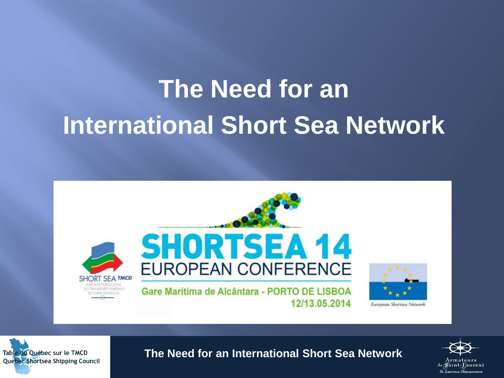# **The Need for an International Short Sea Network**





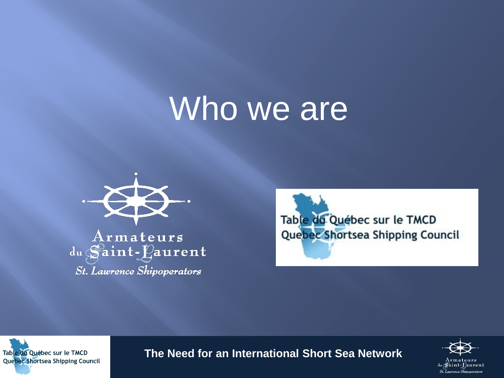# Who we are



 ${\bf Armateurs}$ du Saint-Laurent **St.** Lawrence Shipoperators





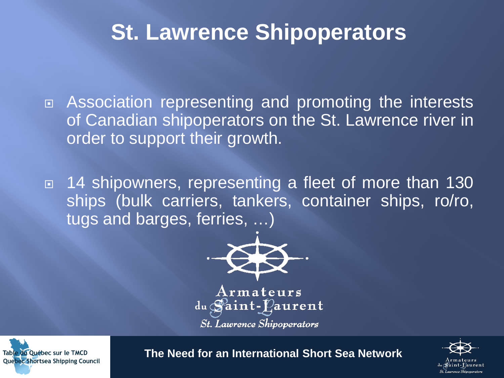## **St. Lawrence Shipoperators**

 Association representing and promoting the interests of Canadian shipoperators on the St. Lawrence river in order to support their growth.

□ 14 shipowners, representing a fleet of more than 130 ships (bulk carriers, tankers, container ships, ro/ro, tugs and barges, ferries, …)



**St.** Lawrence Shipoperators



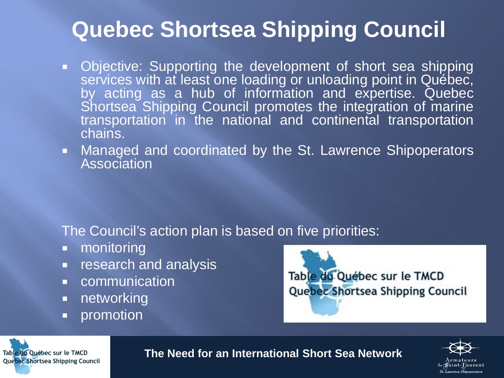## **Quebec Shortsea Shipping Council**

- Objective: Supporting the development of short sea shipping services with at least one loading or unloading point in Québec, by acting as a hub of information and expertise. Quebec Shortsea Shipping Council promotes the integration of marine transportation in the national and continental transportation chains.
- **Managed and coordinated by the St. Lawrence Shipoperators** Association

The Council's action plan is based on five priorities:

- **n** monitoring
- **Fig. 3** research and analysis
- **E** communication
- **networking**
- **•** promotion

Table du Québec sur le TMCD Quebec Shortsea Shipping Council



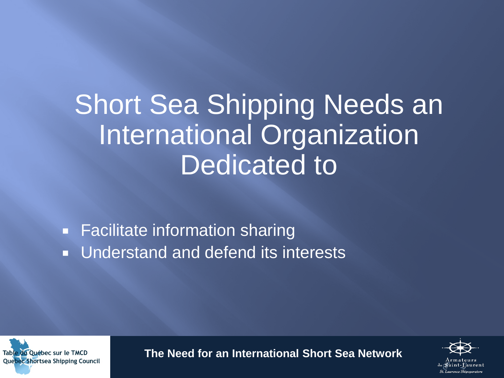# Short Sea Shipping Needs an International Organization Dedicated to

**Facilitate information sharing Understand and defend its interests** 



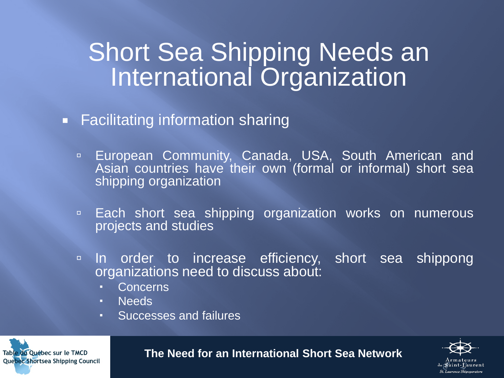## Short Sea Shipping Needs an International Organization

- **Facilitating information sharing** 
	- **European Community, Canada, USA, South American and** Asian countries have their own (formal or informal) short sea shipping organization
	- □ Each short sea shipping organization works on numerous projects and studies
	- **In order to increase efficiency, short sea shippong** organizations need to discuss about:
		- Concerns
		- Needs
		- Successes and failures

Table du Québec sur le TMCD **Quebec Shortsea Shipping Council** 

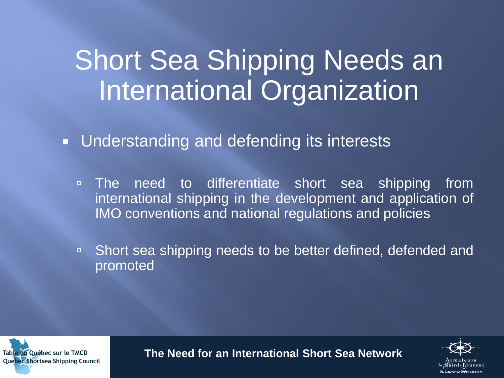# Short Sea Shipping Needs an International Organization

**Understanding and defending its interests** 

- **EXTE:** The need to differentiate short sea shipping from international shipping in the development and application of IMO conventions and national regulations and policies
- □ Short sea shipping needs to be better defined, defended and promoted



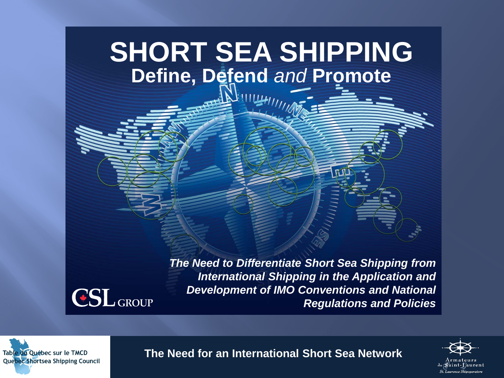## **SHORT SEA SHIPPING Define, Defend** *and* **Promote**



*The Need to Differentiate Short Sea Shipping from International Shipping in the Application and Development of IMO Conventions and National Regulations and Policies*



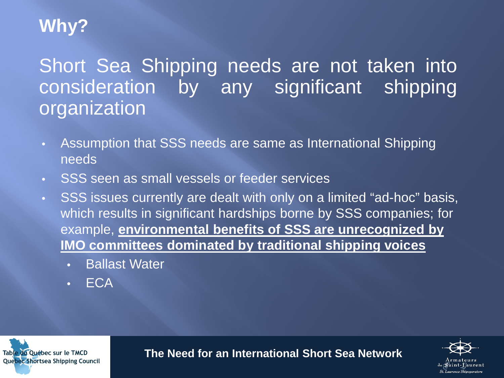## **Why?**

Short Sea Shipping needs are not taken into consideration by any significant shipping organization

- Assumption that SSS needs are same as International Shipping needs
- SSS seen as small vessels or feeder services
- SSS issues currently are dealt with only on a limited "ad-hoc" basis, which results in significant hardships borne by SSS companies; for example, **environmental benefits of SSS are unrecognized by IMO committees dominated by traditional shipping voices**
	- Ballast Water
	- ECA

Table du Québec sur le TMCD **Quebec Shortsea Shipping Council** 



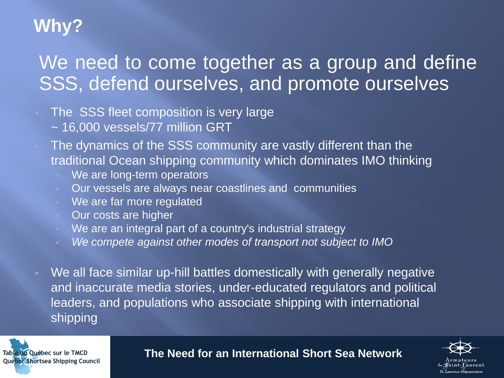## **Why?**

## We need to come together as a group and define SSS, defend ourselves, and promote ourselves

- The SSS fleet composition is very large
	- ~ 16,000 vessels/77 million GRT
- The dynamics of the SSS community are vastly different than the traditional Ocean shipping community which dominates IMO thinking
	- We are long-term operators
	- Our vessels are always near coastlines and communities
	- We are far more regulated
	- Our costs are higher
	- We are an integral part of a country's industrial strategy
	- *We compete against other modes of transport not subject to IMO*
- We all face similar up-hill battles domestically with generally negative and inaccurate media stories, under-educated regulators and political leaders, and populations who associate shipping with international shipping



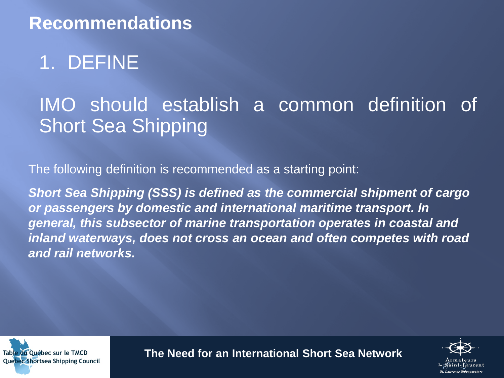## 1. DEFINE

## IMO should establish a common definition of Short Sea Shipping

The following definition is recommended as a starting point:

*Short Sea Shipping (SSS) is defined as the commercial shipment of cargo or passengers by domestic and international maritime transport. In general, this subsector of marine transportation operates in coastal and inland waterways, does not cross an ocean and often competes with road and rail networks.*



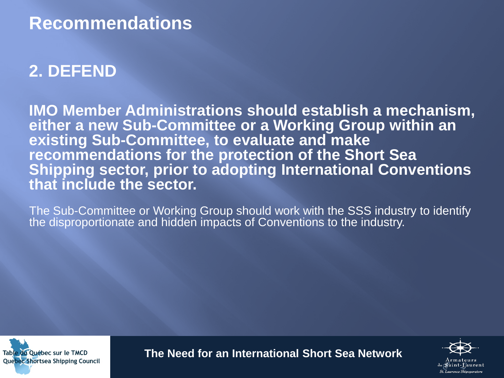## **2. DEFEND**

**IMO Member Administrations should establish a mechanism, either a new Sub-Committee or a Working Group within an existing Sub-Committee, to evaluate and make recommendations for the protection of the Short Sea Shipping sector, prior to adopting International Conventions that include the sector.** 

The Sub-Committee or Working Group should work with the SSS industry to identify the disproportionate and hidden impacts of Conventions to the industry.



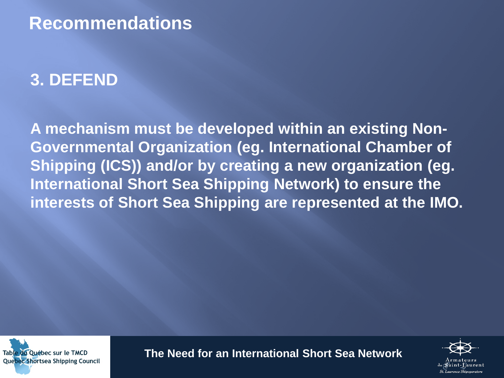## **3. DEFEND**

**A mechanism must be developed within an existing Non-Governmental Organization (eg. International Chamber of Shipping (ICS)) and/or by creating a new organization (eg. International Short Sea Shipping Network) to ensure the interests of Short Sea Shipping are represented at the IMO.**



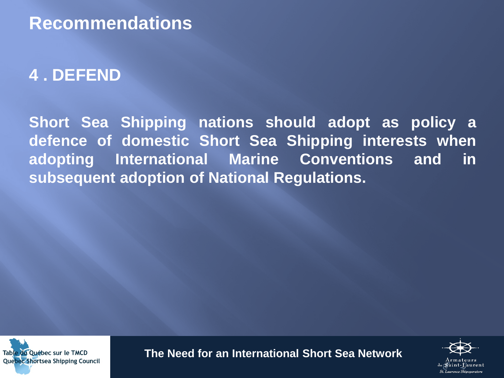#### **4 . DEFEND**

**Short Sea Shipping nations should adopt as policy a defence of domestic Short Sea Shipping interests when adopting International Marine Conventions and in subsequent adoption of National Regulations.**



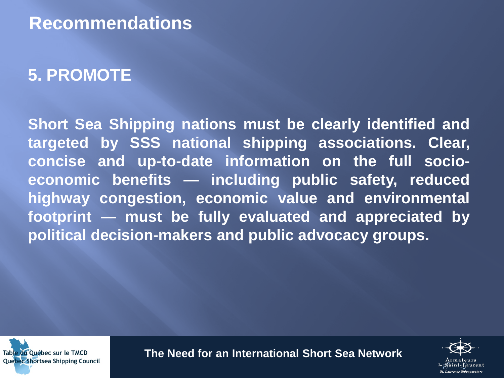## **5. PROMOTE**

**Short Sea Shipping nations must be clearly identified and targeted by SSS national shipping associations. Clear, concise and up-to-date information on the full socioeconomic benefits — including public safety, reduced highway congestion, economic value and environmental footprint — must be fully evaluated and appreciated by political decision-makers and public advocacy groups.**



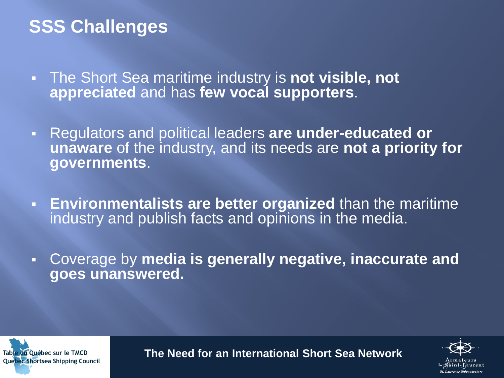## **SSS Challenges**

- The Short Sea maritime industry is **not visible, not appreciated** and has **few vocal supporters**.
- Regulators and political leaders **are under-educated or unaware** of the industry, and its needs are **not a priority for governments**.
- **Environmentalists are better organized** than the maritime industry and publish facts and opinions in the media.
- Coverage by **media is generally negative, inaccurate and goes unanswered.**



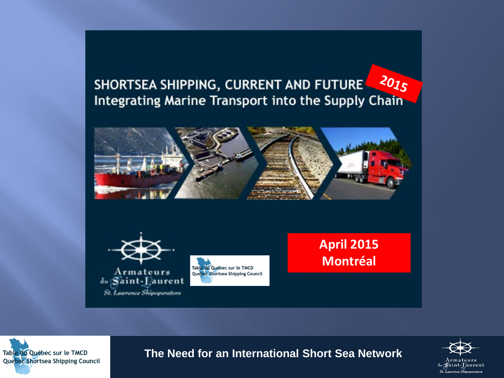#### 2015 SHORTSEA SHIPPING, CURRENT AND FUTURE Integrating Marine Transport into the Supply Chain







**April 2015 Montréal**